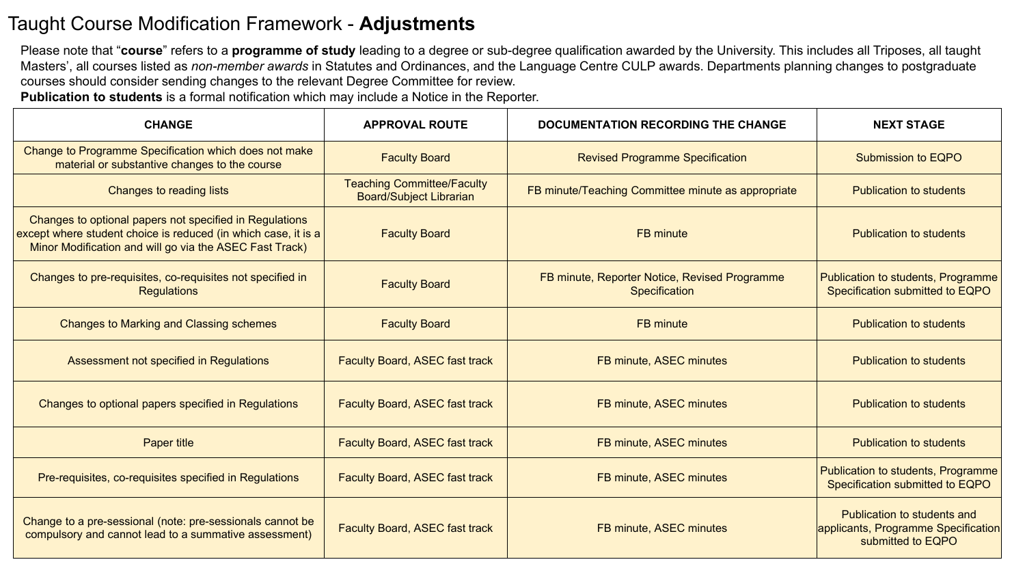## Taught Course Modification Framework - **Adjustments**

Please note that "**course**" refers to a **programme of study** leading to a degree or sub-degree qualification awarded by the University. This includes all Triposes, all taught Masters', all courses listed as *non-member awards* in Statutes and Ordinances, and the Language Centre CULP awards. Departments planning changes to postgraduate courses should consider sending changes to the relevant Degree Committee for review.

**Publication to students** is a formal notification which may include a Notice in the Reporter.

| <b>CHANGE</b>                                                                                                                                                                        | <b>APPROVAL ROUTE</b>                                               | <b>DOCUMENTATION RECORDING THE CHANGE</b>                      | <b>NEXT STAGE</b>                                                                       |
|--------------------------------------------------------------------------------------------------------------------------------------------------------------------------------------|---------------------------------------------------------------------|----------------------------------------------------------------|-----------------------------------------------------------------------------------------|
| Change to Programme Specification which does not make<br>material or substantive changes to the course                                                                               | <b>Faculty Board</b>                                                | <b>Revised Programme Specification</b>                         | Submission to EQPO                                                                      |
| Changes to reading lists                                                                                                                                                             | <b>Teaching Committee/Faculty</b><br><b>Board/Subject Librarian</b> | FB minute/Teaching Committee minute as appropriate             | <b>Publication to students</b>                                                          |
| Changes to optional papers not specified in Regulations<br>except where student choice is reduced (in which case, it is a<br>Minor Modification and will go via the ASEC Fast Track) | <b>Faculty Board</b>                                                | <b>FB</b> minute                                               | <b>Publication to students</b>                                                          |
| Changes to pre-requisites, co-requisites not specified in<br><b>Regulations</b>                                                                                                      | <b>Faculty Board</b>                                                | FB minute, Reporter Notice, Revised Programme<br>Specification | Publication to students, Programme<br>Specification submitted to EQPO                   |
| <b>Changes to Marking and Classing schemes</b>                                                                                                                                       | <b>Faculty Board</b>                                                | <b>FB</b> minute                                               | <b>Publication to students</b>                                                          |
| Assessment not specified in Regulations                                                                                                                                              | <b>Faculty Board, ASEC fast track</b>                               | FB minute, ASEC minutes                                        | <b>Publication to students</b>                                                          |
| Changes to optional papers specified in Regulations                                                                                                                                  | <b>Faculty Board, ASEC fast track</b>                               | FB minute, ASEC minutes                                        | <b>Publication to students</b>                                                          |
| <b>Paper title</b>                                                                                                                                                                   | <b>Faculty Board, ASEC fast track</b>                               | FB minute, ASEC minutes                                        | <b>Publication to students</b>                                                          |
| Pre-requisites, co-requisites specified in Regulations                                                                                                                               | <b>Faculty Board, ASEC fast track</b>                               | FB minute, ASEC minutes                                        | Publication to students, Programme<br>Specification submitted to EQPO                   |
| Change to a pre-sessional (note: pre-sessionals cannot be<br>compulsory and cannot lead to a summative assessment)                                                                   | <b>Faculty Board, ASEC fast track</b>                               | FB minute, ASEC minutes                                        | Publication to students and<br>applicants, Programme Specification<br>submitted to EQPO |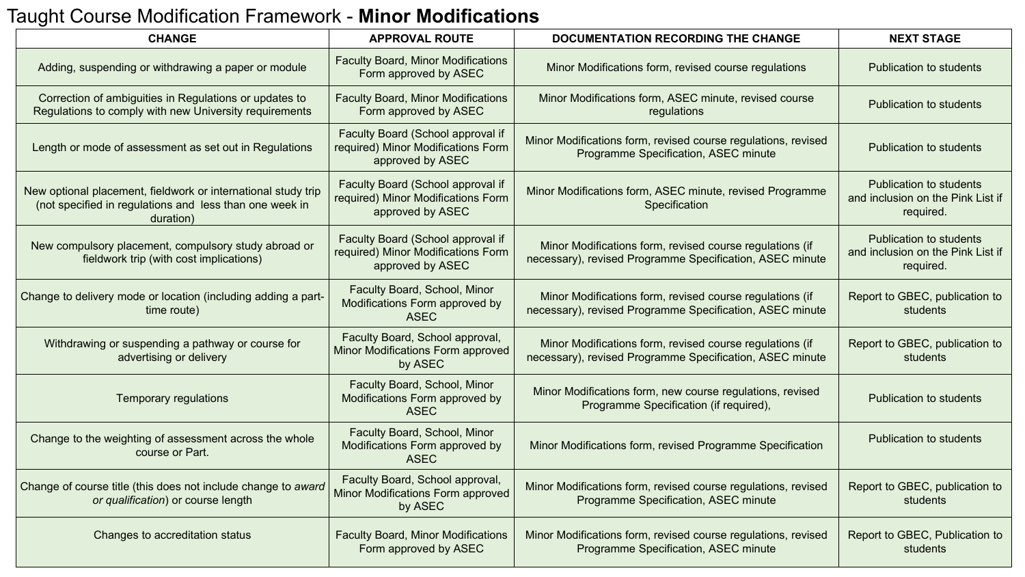## Taught Course Modification Framework - **Minor Modifications**

| <b>CHANGE</b>                                                                                                                         | <b>APPROVAL ROUTE</b>                                                                       | <b>NEXT STAGE</b><br><b>DOCUMENTATION RECORDING THE CHANGE</b>                                                       |                                                                           |
|---------------------------------------------------------------------------------------------------------------------------------------|---------------------------------------------------------------------------------------------|----------------------------------------------------------------------------------------------------------------------|---------------------------------------------------------------------------|
| Adding, suspending or withdrawing a paper or module                                                                                   | <b>Faculty Board, Minor Modifications</b><br>Form approved by ASEC                          | Minor Modifications form, revised course regulations                                                                 | Publication to students                                                   |
| Correction of ambiguities in Regulations or updates to<br>Regulations to comply with new University requirements                      | <b>Faculty Board, Minor Modifications</b><br>Form approved by ASEC                          | Minor Modifications form, ASEC minute, revised course<br>regulations                                                 | Publication to students                                                   |
| Length or mode of assessment as set out in Regulations                                                                                | Faculty Board (School approval if<br>required) Minor Modifications Form<br>approved by ASEC | Minor Modifications form, revised course regulations, revised<br>Programme Specification, ASEC minute                | <b>Publication to students</b>                                            |
| New optional placement, fieldwork or international study trip<br>(not specified in regulations and less than one week in<br>duration) | Faculty Board (School approval if<br>required) Minor Modifications Form<br>approved by ASEC | Minor Modifications form, ASEC minute, revised Programme<br>Specification                                            | Publication to students<br>and inclusion on the Pink List if<br>required. |
| New compulsory placement, compulsory study abroad or<br>fieldwork trip (with cost implications)                                       | Faculty Board (School approval if<br>required) Minor Modifications Form<br>approved by ASEC | Minor Modifications form, revised course regulations (if<br>necessary), revised Programme Specification, ASEC minute | Publication to students<br>and inclusion on the Pink List if<br>required. |
| Change to delivery mode or location (including adding a part-<br>time route)                                                          | Faculty Board, School, Minor<br>Modifications Form approved by<br><b>ASEC</b>               | Minor Modifications form, revised course regulations (if<br>necessary), revised Programme Specification, ASEC minute | Report to GBEC, publication to<br>students                                |
| Withdrawing or suspending a pathway or course for<br>advertising or delivery                                                          | Faculty Board, School approval,<br>Minor Modifications Form approved<br>by ASEC             | Minor Modifications form, revised course regulations (if<br>necessary), revised Programme Specification, ASEC minute | Report to GBEC, publication to<br>students                                |
| <b>Temporary regulations</b>                                                                                                          | Faculty Board, School, Minor<br>Modifications Form approved by<br><b>ASEC</b>               | Minor Modifications form, new course regulations, revised<br>Programme Specification (if required),                  | Publication to students                                                   |
| Change to the weighting of assessment across the whole<br>course or Part.                                                             | Faculty Board, School, Minor<br>Modifications Form approved by<br><b>ASEC</b>               | Minor Modifications form, revised Programme Specification                                                            | <b>Publication to students</b>                                            |
| Change of course title (this does not include change to award<br>or qualification) or course length                                   | Faculty Board, School approval,<br>Minor Modifications Form approved<br>by ASEC             | Minor Modifications form, revised course regulations, revised<br>Programme Specification, ASEC minute                | Report to GBEC, publication to<br>students                                |
| Changes to accreditation status                                                                                                       | <b>Faculty Board, Minor Modifications</b><br>Form approved by ASEC                          | Minor Modifications form, revised course regulations, revised<br>Programme Specification, ASEC minute                | Report to GBEC, Publication to<br>students                                |